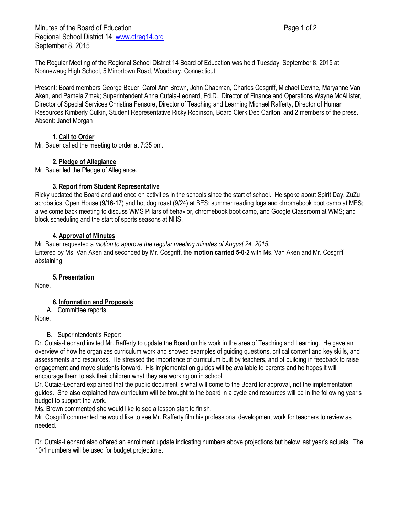Minutes of the Board of Education **Page 1 of 2** and 2 Regional School District 14 [www.ctreg14.org](http://www.ctreg14.org/) September 8, 2015

The Regular Meeting of the Regional School District 14 Board of Education was held Tuesday, September 8, 2015 at Nonnewaug High School, 5 Minortown Road, Woodbury, Connecticut.

Present: Board members George Bauer, Carol Ann Brown, John Chapman, Charles Cosgriff, Michael Devine, Maryanne Van Aken, and Pamela Zmek; Superintendent Anna Cutaia-Leonard, Ed.D., Director of Finance and Operations Wayne McAllister, Director of Special Services Christina Fensore, Director of Teaching and Learning Michael Rafferty, Director of Human Resources Kimberly Culkin, Student Representative Ricky Robinson, Board Clerk Deb Carlton, and 2 members of the press. Absent: Janet Morgan

# **1.Call to Order**

Mr. Bauer called the meeting to order at 7:35 pm.

## **2.Pledge of Allegiance**

Mr. Bauer led the Pledge of Allegiance.

### **3.Report from Student Representative**

Ricky updated the Board and audience on activities in the schools since the start of school. He spoke about Spirit Day, ZuZu acrobatics, Open House (9/16-17) and hot dog roast (9/24) at BES; summer reading logs and chromebook boot camp at MES; a welcome back meeting to discuss WMS Pillars of behavior, chromebook boot camp, and Google Classroom at WMS; and block scheduling and the start of sports seasons at NHS.

### **4.Approval of Minutes**

Mr. Bauer requested a *motion to approve the regular meeting minutes of August 24, 2015.* Entered by Ms. Van Aken and seconded by Mr. Cosgriff, the **motion carried 5-0-2** with Ms. Van Aken and Mr. Cosgriff abstaining.

#### **5.Presentation**

None.

## **6. Information and Proposals**

A. Committee reports

None.

#### B. Superintendent's Report

Dr. Cutaia-Leonard invited Mr. Rafferty to update the Board on his work in the area of Teaching and Learning. He gave an overview of how he organizes curriculum work and showed examples of guiding questions, critical content and key skills, and assessments and resources. He stressed the importance of curriculum built by teachers, and of building in feedback to raise engagement and move students forward. His implementation guides will be available to parents and he hopes it will encourage them to ask their children what they are working on in school.

Dr. Cutaia-Leonard explained that the public document is what will come to the Board for approval, not the implementation guides. She also explained how curriculum will be brought to the board in a cycle and resources will be in the following year's budget to support the work.

Ms. Brown commented she would like to see a lesson start to finish.

Mr. Cosgriff commented he would like to see Mr. Rafferty film his professional development work for teachers to review as needed.

Dr. Cutaia-Leonard also offered an enrollment update indicating numbers above projections but below last year's actuals. The 10/1 numbers will be used for budget projections.